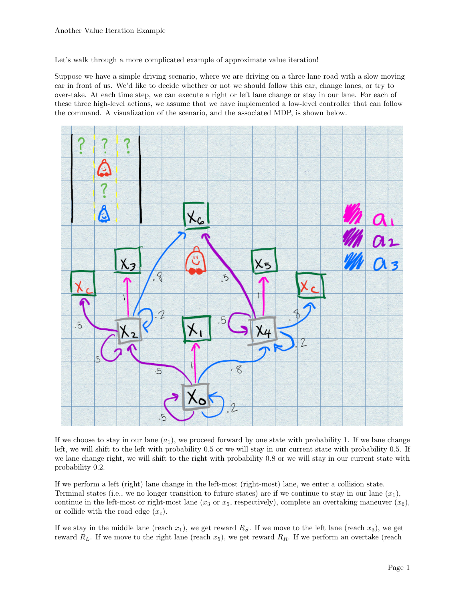Let's walk through a more complicated example of approximate value iteration!

Suppose we have a simple driving scenario, where we are driving on a three lane road with a slow moving car in front of us. We'd like to decide whether or not we should follow this car, change lanes, or try to over-take. At each time step, we can execute a right or left lane change or stay in our lane. For each of these three high-level actions, we assume that we have implemented a low-level controller that can follow the command. A visualization of the scenario, and the associated MDP, is shown below.



If we choose to stay in our lane  $(a_1)$ , we proceed forward by one state with probability 1. If we lane change left, we will shift to the left with probability 0.5 or we will stay in our current state with probability 0.5. If we lane change right, we will shift to the right with probability 0.8 or we will stay in our current state with probability 0.2.

If we perform a left (right) lane change in the left-most (right-most) lane, we enter a collision state. Terminal states (i.e., we no longer transition to future states) are if we continue to stay in our lane  $(x_1)$ , continue in the left-most or right-most lane (x<sub>3</sub> or x<sub>5</sub>, respectively), complete an overtaking maneuver (x<sub>6</sub>), or collide with the road edge  $(x_c)$ .

If we stay in the middle lane (reach  $x_1$ ), we get reward  $R<sub>S</sub>$ . If we move to the left lane (reach  $x_3$ ), we get reward  $R_L$ . If we move to the right lane (reach  $x_5$ ), we get reward  $R_R$ . If we perform an overtake (reach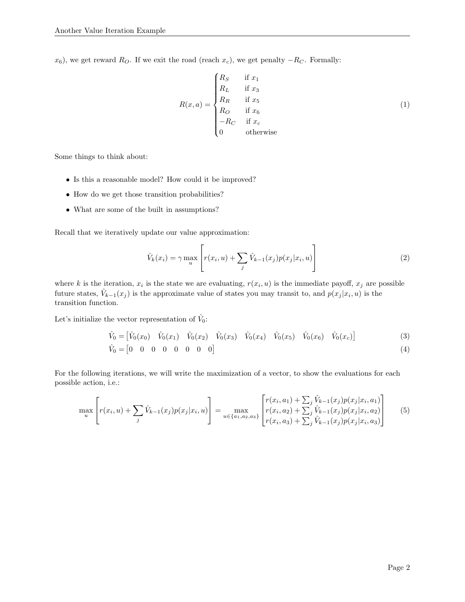$x_6$ ), we get reward  $R_O$ . If we exit the road (reach  $x_c$ ), we get penalty  $-R_C$ . Formally:

$$
R(x,a) = \begin{cases} R_S & \text{if } x_1 \\ R_L & \text{if } x_3 \\ R_R & \text{if } x_5 \\ R_O & \text{if } x_6 \\ -R_C & \text{if } x_c \\ 0 & \text{otherwise} \end{cases}
$$
 (1)

Some things to think about:

- Is this a reasonable model? How could it be improved?
- How do we get those transition probabilities?
- What are some of the built in assumptions?

Recall that we iteratively update our value approximation:

$$
\hat{V}_k(x_i) = \gamma \max_u \left[ r(x_i, u) + \sum_j \hat{V}_{k-1}(x_j) p(x_j | x_i, u) \right]
$$
\n(2)

where k is the iteration,  $x_i$  is the state we are evaluating,  $r(x_i, u)$  is the immediate payoff,  $x_j$  are possible future states,  $\hat{V}_{k-1}(x_j)$  is the approximate value of states you may transit to, and  $p(x_j | x_i, u)$  is the transition function.

Let's initialize the vector representation of  $\hat{V}_0$ :

$$
\hat{V}_0 = \begin{bmatrix} \hat{V}_0(x_0) & \hat{V}_0(x_1) & \hat{V}_0(x_2) & \hat{V}_0(x_3) & \hat{V}_0(x_4) & \hat{V}_0(x_5) & \hat{V}_0(x_6) & \hat{V}_0(x_6) \end{bmatrix}
$$
\n(3)  
\n
$$
\hat{V}_0 = \begin{bmatrix} 0 & 0 & 0 & 0 & 0 & 0 & 0 & 0 \end{bmatrix}
$$
\n(4)

For the following iterations, we will write the maximization of a vector, to show the evaluations for each possible action, i.e.:

$$
\max_{u} \left[ r(x_i, u) + \sum_{j} \hat{V}_{k-1}(x_j) p(x_j | x_i, u) \right] = \max_{u \in \{a_1, a_2, a_3\}} \left[ \begin{matrix} r(x_i, a_1) + \sum_{j} \hat{V}_{k-1}(x_j) p(x_j | x_i, a_1) \\ r(x_i, a_2) + \sum_{j} \hat{V}_{k-1}(x_j) p(x_j | x_i, a_2) \\ r(x_i, a_3) + \sum_{j} \hat{V}_{k-1}(x_j) p(x_j | x_i, a_3) \end{matrix} \right] \tag{5}
$$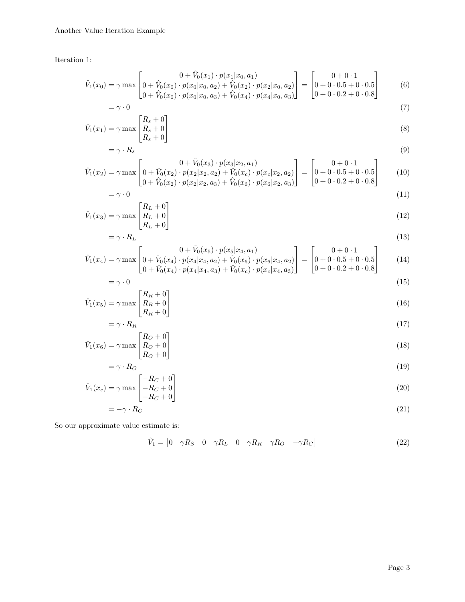Iteration 1:

$$
\hat{V}_1(x_0) = \gamma \max \begin{bmatrix} 0 + \hat{V}_0(x_1) \cdot p(x_1 | x_0, a_1) \\ 0 + \hat{V}_0(x_0) \cdot p(x_0 | x_0, a_2) + \hat{V}_0(x_2) \cdot p(x_2 | x_0, a_2) \end{bmatrix} = \begin{bmatrix} 0 + 0 \cdot 1 \\ 0 + 0 \cdot 0.5 + 0 \cdot 0.5 \\ 0 + 0 \cdot 0.5 + 0 \cdot 0.5 \end{bmatrix}
$$
(6)

$$
\[0 + \hat{V}_0(x_0) \cdot p(x_0|x_0, a_3) + \hat{V}_0(x_4) \cdot p(x_4|x_0, a_3)\] \quad [0 + 0 \cdot 0.2 + 0 \cdot 0.8]
$$
  
=  $\gamma \cdot 0$  (7)

$$
\hat{V}_1(x_1) = \gamma \max \begin{bmatrix} R_s + 0 \\ R_s + 0 \\ R_s + 0 \end{bmatrix}
$$
\n(8)

$$
= \gamma \cdot R_s
$$
\n
$$
\begin{bmatrix}\n0 + \hat{V}_0(x_3) \cdot p(x_3|x_2, a_1)\n\end{bmatrix}\n\qquad\n\begin{bmatrix}\n0 + 0 \cdot 1\n\end{bmatrix}
$$
\n(9)

$$
\hat{V}_1(x_2) = \gamma \max \left[ 0 + \hat{V}_0(x_2) \cdot p(x_2 | x_2, a_2) + \hat{V}_0(x_2) \cdot p(x_c | x_2, a_2) \right] = \begin{bmatrix} 0 + 0 \cdot 0.5 + 0 \cdot 0.5 \\ 0 + 0 \cdot 0.5 + 0 \cdot 0.5 \\ 0 + 0 \cdot 0.2 + 0 \cdot 0.8 \end{bmatrix}
$$
\n(10)

$$
= \gamma \cdot 0 \tag{11}
$$
\n
$$
\left[ R_L + 0 \right]
$$

$$
\hat{V}_1(x_3) = \gamma \max \begin{bmatrix} I_L + 0 \\ R_L + 0 \\ R_L + 0 \end{bmatrix} \tag{12}
$$

$$
= \gamma \cdot R_L
$$
\n
$$
\hat{V}_1(x_4) = \gamma \max \left[ 0 + \hat{V}_0(x_4) \cdot p(x_4 | x_4, a_2) + \hat{V}_0(x_6) \cdot p(x_6 | x_4, a_2) \right] = \left[ 0 + 0 \cdot 1 - 0.5 + 0 \cdot 0.5 \right]
$$
\n
$$
(13)
$$
\n
$$
(14)
$$

$$
= \gamma \max \left[ 0 + \hat{V}_0(x_4) \cdot p(x_4 | x_4, a_2) + \hat{V}_0(x_6) \cdot p(x_6 | x_4, a_2) \right] = \left[ 0 + 0 \cdot 0.5 + 0 \cdot 0.5 \right] \tag{14}
$$

$$
=\gamma \cdot 0\tag{15}
$$

$$
\hat{V}_1(x_5) = \gamma \max \begin{bmatrix} R_R + 0 \\ R_R + 0 \\ R_R + 0 \end{bmatrix} \tag{16}
$$

$$
= \gamma \cdot R_R \tag{17}
$$

$$
\hat{V}_1(x_6) = \gamma \max \begin{bmatrix} R_O + 0 \\ R_O + 0 \\ R_O + 0 \end{bmatrix} \tag{18}
$$

$$
= \gamma \cdot R_O \tag{19}
$$

$$
\hat{V}_1(x_c) = \gamma \max \begin{bmatrix} -R_C + 0\\ -R_C + 0\\ -R_C + 0 \end{bmatrix} \tag{20}
$$

$$
= -\gamma \cdot R_C \tag{21}
$$

So our approximate value estimate is:

$$
\hat{V}_1 = \begin{bmatrix} 0 & \gamma R_S & 0 & \gamma R_L & 0 & \gamma R_R & \gamma R_O & -\gamma R_C \end{bmatrix}
$$
\n(22)